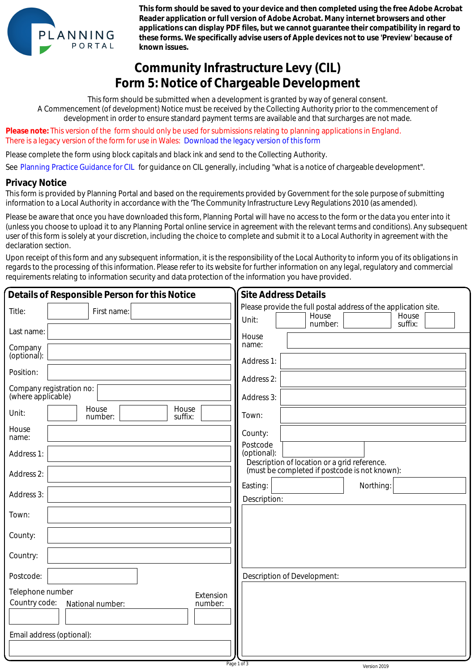

**This form should be saved to your device and then completed using the free Adobe Acrobat Reader application or full version of Adobe Acrobat. Many internet browsers and other applications can display PDF files, but we cannot guarantee their compatibility in regard to these forms. We specifically advise users of Apple devices not to use 'Preview' because of known issues.**

## **Community Infrastructure Levy (CIL) Form 5: Notice of Chargeable Development**

This form should be submitted when a development is granted by way of general consent. A Commencement (of development) Notice must be received by the Collecting Authority prior to the commencement of development in order to ensure standard payment terms are available and that surcharges are not made.

**Please note:** This version of the form should only be used for submissions relating to planning applications in England. There is a legacy version of the form for use in Wales: Download the legacy version of this form

## **Privacy Notice**

| There is a legacy version of the form for use in Wales: Download the legacy version of this form                                                                                                                                                                                                                                                                                                                                                                                                                                                                                                                                                                                                                      |                                                                                                                                            |
|-----------------------------------------------------------------------------------------------------------------------------------------------------------------------------------------------------------------------------------------------------------------------------------------------------------------------------------------------------------------------------------------------------------------------------------------------------------------------------------------------------------------------------------------------------------------------------------------------------------------------------------------------------------------------------------------------------------------------|--------------------------------------------------------------------------------------------------------------------------------------------|
| Please complete the form using block capitals and black ink and send to the Collecting Authority.                                                                                                                                                                                                                                                                                                                                                                                                                                                                                                                                                                                                                     |                                                                                                                                            |
| See Planning Practice Guidance for CIL for guidance on CIL generally, including "what is a notice of chargeable development".                                                                                                                                                                                                                                                                                                                                                                                                                                                                                                                                                                                         |                                                                                                                                            |
| Privacy Notice<br>This form is provided by Planning Portal and based on the requirements provided by Government for the sole purpose of submitting<br>information to a Local Authority in accordance with the 'The Community Infrastructure Levy Regulations 2010 (as amended).                                                                                                                                                                                                                                                                                                                                                                                                                                       |                                                                                                                                            |
| Please be aware that once you have downloaded this form, Planning Portal will have no access to the form or the data you enter into it<br>user of this form is solely at your discretion, including the choice to complete and submit it to a Local Authority in agreement with the<br>declaration section.<br>Upon receipt of this form and any subsequent information, it is the responsibility of the Local Authority to inform you of its obligations in<br>regards to the processing of this information. Please refer to its website for further information on any legal, regulatory and commercial<br>requirements relating to information security and data protection of the information you have provided. | (unless you choose to upload it to any Planning Portal online service in agreement with the relevant terms and conditions). Any subsequent |
| Details of Responsible Person for this Notice                                                                                                                                                                                                                                                                                                                                                                                                                                                                                                                                                                                                                                                                         | <b>Site Address Details</b>                                                                                                                |
| Title:<br>First name:                                                                                                                                                                                                                                                                                                                                                                                                                                                                                                                                                                                                                                                                                                 | Please provide the full postal address of the application site.<br>House<br>House<br>Unit:<br>suffix:                                      |
| Last name:                                                                                                                                                                                                                                                                                                                                                                                                                                                                                                                                                                                                                                                                                                            | number:<br>House                                                                                                                           |
| Company<br>(optional):                                                                                                                                                                                                                                                                                                                                                                                                                                                                                                                                                                                                                                                                                                | name:<br>Address 1:                                                                                                                        |
| Position:                                                                                                                                                                                                                                                                                                                                                                                                                                                                                                                                                                                                                                                                                                             | Address 2:                                                                                                                                 |
| Company registration no:<br>(where applicable)                                                                                                                                                                                                                                                                                                                                                                                                                                                                                                                                                                                                                                                                        | Address 3:                                                                                                                                 |
| House<br>House<br>Unit:<br>suffix:<br>number:                                                                                                                                                                                                                                                                                                                                                                                                                                                                                                                                                                                                                                                                         | Town:                                                                                                                                      |
| House<br>name:                                                                                                                                                                                                                                                                                                                                                                                                                                                                                                                                                                                                                                                                                                        | County:<br>Postcode                                                                                                                        |
| Address 1:                                                                                                                                                                                                                                                                                                                                                                                                                                                                                                                                                                                                                                                                                                            | (optional):<br>Description of location or a grid reference.                                                                                |
| Address 2:                                                                                                                                                                                                                                                                                                                                                                                                                                                                                                                                                                                                                                                                                                            | (must be completed if postcode is not known):<br>Easting:<br>Northing:                                                                     |
| Address 3:                                                                                                                                                                                                                                                                                                                                                                                                                                                                                                                                                                                                                                                                                                            | Description:                                                                                                                               |
| Town:                                                                                                                                                                                                                                                                                                                                                                                                                                                                                                                                                                                                                                                                                                                 |                                                                                                                                            |
| County:                                                                                                                                                                                                                                                                                                                                                                                                                                                                                                                                                                                                                                                                                                               |                                                                                                                                            |
| Country:                                                                                                                                                                                                                                                                                                                                                                                                                                                                                                                                                                                                                                                                                                              |                                                                                                                                            |
| Postcode:                                                                                                                                                                                                                                                                                                                                                                                                                                                                                                                                                                                                                                                                                                             | Description of Development:                                                                                                                |
| Telephone number<br>Extension<br>Country code:<br>National number:<br>number:                                                                                                                                                                                                                                                                                                                                                                                                                                                                                                                                                                                                                                         |                                                                                                                                            |
| Email address (optional):                                                                                                                                                                                                                                                                                                                                                                                                                                                                                                                                                                                                                                                                                             |                                                                                                                                            |
|                                                                                                                                                                                                                                                                                                                                                                                                                                                                                                                                                                                                                                                                                                                       | Page 1 of 3                                                                                                                                |

Version 2019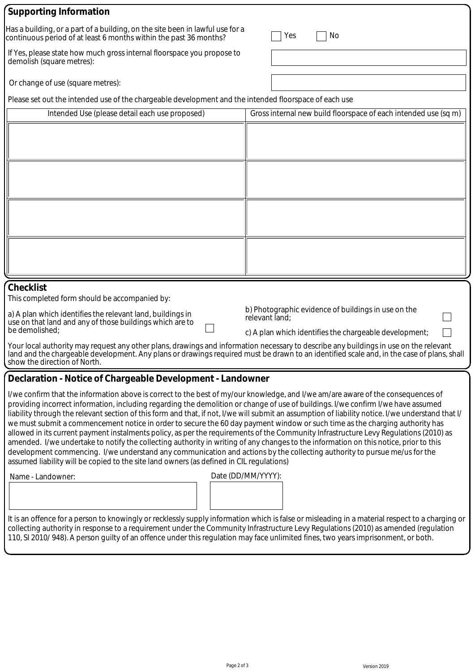| <b>Supporting Information</b>                                                                                                                                                                                                                                                                                                                                                                                                                                                                                                                                                                                                                                                                                                                                                                                                                                                                                                                                                                                                                                         |                                                                                                                                 |
|-----------------------------------------------------------------------------------------------------------------------------------------------------------------------------------------------------------------------------------------------------------------------------------------------------------------------------------------------------------------------------------------------------------------------------------------------------------------------------------------------------------------------------------------------------------------------------------------------------------------------------------------------------------------------------------------------------------------------------------------------------------------------------------------------------------------------------------------------------------------------------------------------------------------------------------------------------------------------------------------------------------------------------------------------------------------------|---------------------------------------------------------------------------------------------------------------------------------|
| Has a building, or a part of a building, on the site been in lawful use for a<br>continuous period of at least 6 months within the past 36 months?                                                                                                                                                                                                                                                                                                                                                                                                                                                                                                                                                                                                                                                                                                                                                                                                                                                                                                                    | No<br>Yes                                                                                                                       |
| If Yes, please state how much gross internal floorspace you propose to<br>demolish (square metres):                                                                                                                                                                                                                                                                                                                                                                                                                                                                                                                                                                                                                                                                                                                                                                                                                                                                                                                                                                   |                                                                                                                                 |
| Or change of use (square metres):                                                                                                                                                                                                                                                                                                                                                                                                                                                                                                                                                                                                                                                                                                                                                                                                                                                                                                                                                                                                                                     |                                                                                                                                 |
| Please set out the intended use of the chargeable development and the intended floorspace of each use                                                                                                                                                                                                                                                                                                                                                                                                                                                                                                                                                                                                                                                                                                                                                                                                                                                                                                                                                                 |                                                                                                                                 |
| Intended Use (please detail each use proposed)                                                                                                                                                                                                                                                                                                                                                                                                                                                                                                                                                                                                                                                                                                                                                                                                                                                                                                                                                                                                                        | Gross internal new build floorspace of each intended use (sq m)                                                                 |
|                                                                                                                                                                                                                                                                                                                                                                                                                                                                                                                                                                                                                                                                                                                                                                                                                                                                                                                                                                                                                                                                       |                                                                                                                                 |
|                                                                                                                                                                                                                                                                                                                                                                                                                                                                                                                                                                                                                                                                                                                                                                                                                                                                                                                                                                                                                                                                       |                                                                                                                                 |
|                                                                                                                                                                                                                                                                                                                                                                                                                                                                                                                                                                                                                                                                                                                                                                                                                                                                                                                                                                                                                                                                       |                                                                                                                                 |
|                                                                                                                                                                                                                                                                                                                                                                                                                                                                                                                                                                                                                                                                                                                                                                                                                                                                                                                                                                                                                                                                       |                                                                                                                                 |
| <b>Checklist</b><br>This completed form should be accompanied by:                                                                                                                                                                                                                                                                                                                                                                                                                                                                                                                                                                                                                                                                                                                                                                                                                                                                                                                                                                                                     |                                                                                                                                 |
| a) A plan which identifies the relevant land, buildings in<br>use on that land and any of those buildings which are to<br>be demolished;                                                                                                                                                                                                                                                                                                                                                                                                                                                                                                                                                                                                                                                                                                                                                                                                                                                                                                                              | b) Photographic evidence of buildings in use on the<br>relevant land;<br>c) A plan which identifies the chargeable development; |
| Your local authority may request any other plans, drawings and information necessary to describe any buildings in use on the relevant<br>land and the chargeable development. Any plans or drawings required must be drawn to an identified scale and, in the case of plans, shall<br>show the direction of North.                                                                                                                                                                                                                                                                                                                                                                                                                                                                                                                                                                                                                                                                                                                                                    |                                                                                                                                 |
| Declaration - Notice of Chargeable Development - Landowner                                                                                                                                                                                                                                                                                                                                                                                                                                                                                                                                                                                                                                                                                                                                                                                                                                                                                                                                                                                                            |                                                                                                                                 |
| I/we confirm that the information above is correct to the best of my/our knowledge, and I/we am/are aware of the consequences of<br>providing incorrect information, including regarding the demolition or change of use of buildings. I/we confirm I/we have assumed<br>liability through the relevant section of this form and that, if not, I/we will submit an assumption of liability notice. I/we understand that I/<br>we must submit a commencement notice in order to secure the 60 day payment window or such time as the charging authority has<br>allowed in its current payment instalments policy, as per the requirements of the Community Infrastructure Levy Regulations (2010) as<br>amended. I/we undertake to notify the collecting authority in writing of any changes to the information on this notice, prior to this<br>development commencing. I/we understand any communication and actions by the collecting authority to pursue me/us for the<br>assumed liability will be copied to the site land owners (as defined in CIL regulations) |                                                                                                                                 |
| Name - Landowner:                                                                                                                                                                                                                                                                                                                                                                                                                                                                                                                                                                                                                                                                                                                                                                                                                                                                                                                                                                                                                                                     | Date (DD/MM/YYYY):                                                                                                              |
| It is an offence for a person to knowingly or recklessly supply information which is false or misleading in a material respect to a charging or<br>collecting authority in response to a requirement under the Community Infrastructure Levy Regulations (2010) as amended (regulation<br>110, SI 2010/948). A person guilty of an offence under this regulation may face unlimited fines, two years imprisonment, or both.                                                                                                                                                                                                                                                                                                                                                                                                                                                                                                                                                                                                                                           |                                                                                                                                 |